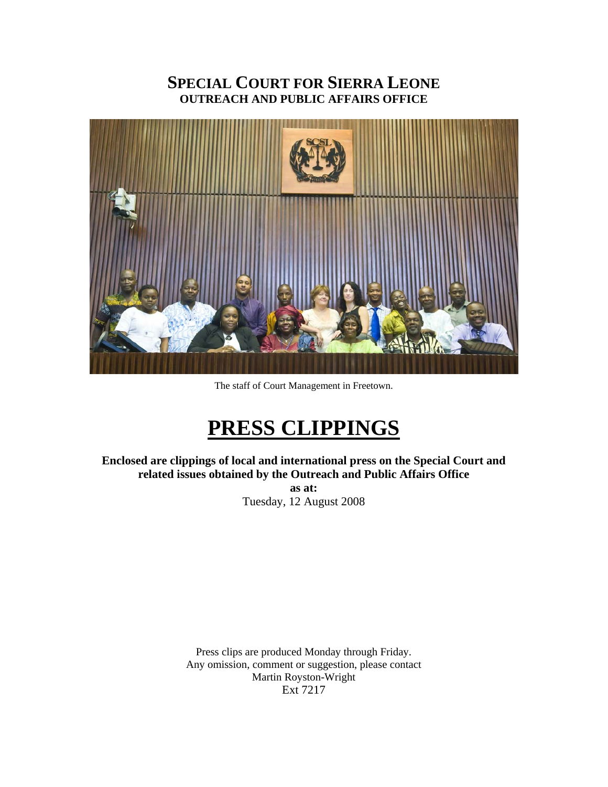# **SPECIAL COURT FOR SIERRA LEONE OUTREACH AND PUBLIC AFFAIRS OFFICE**



The staff of Court Management in Freetown.

# **PRESS CLIPPINGS**

**Enclosed are clippings of local and international press on the Special Court and related issues obtained by the Outreach and Public Affairs Office as at:**  Tuesday, 12 August 2008

> Press clips are produced Monday through Friday. Any omission, comment or suggestion, please contact Martin Royston-Wright Ext 7217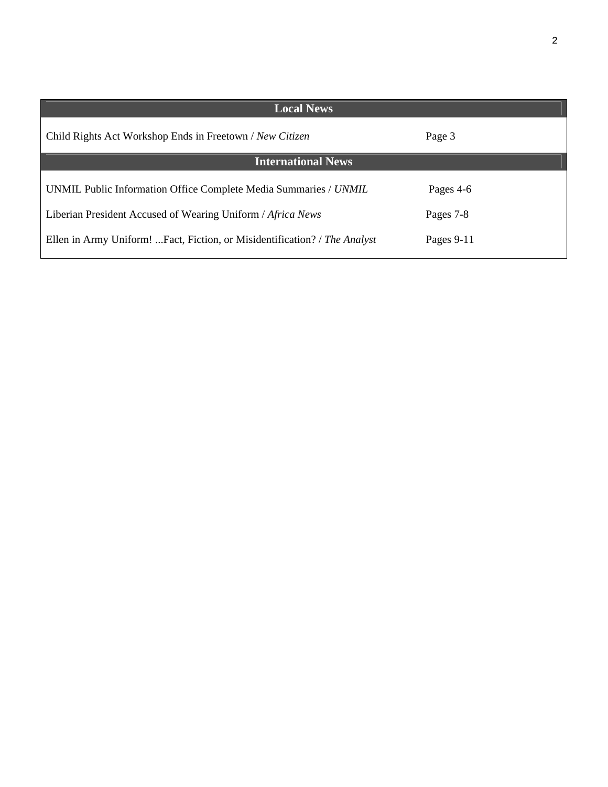2

| <b>Local News</b>                                                         |              |  |  |  |
|---------------------------------------------------------------------------|--------------|--|--|--|
| Child Rights Act Workshop Ends in Freetown / New Citizen                  | Page 3       |  |  |  |
| <b>International News</b>                                                 |              |  |  |  |
| UNMIL Public Information Office Complete Media Summaries / UNMIL          | Pages 4-6    |  |  |  |
| Liberian President Accused of Wearing Uniform / Africa News               | Pages 7-8    |  |  |  |
| Ellen in Army Uniform! Fact, Fiction, or Misidentification? / The Analyst | Pages $9-11$ |  |  |  |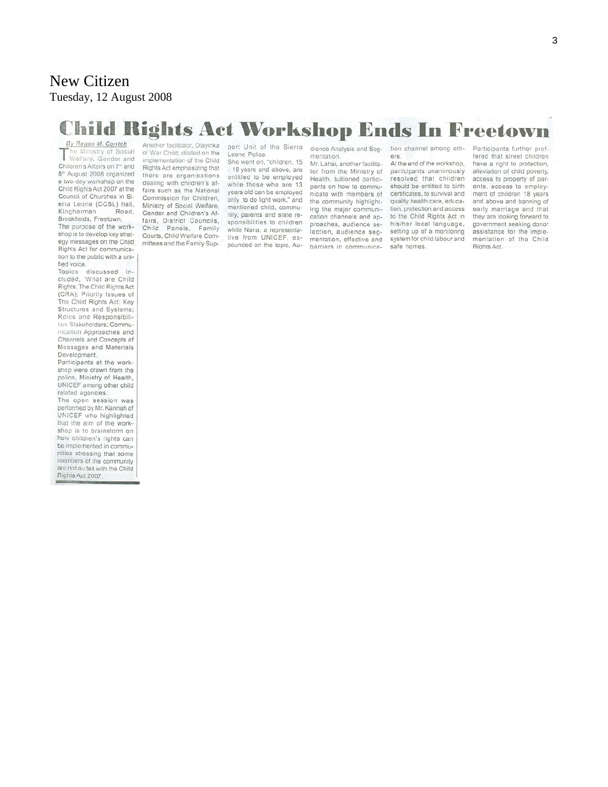# New Citizen Tuesday, 12 August 2008

# **Child Rights Act Workshop Ends In Freetown**

By Ragan M. Conteh he Ministry of Social The Ministry of Social<br>Welfare, Gender and<br>Children's Affairs on 7<sup>m</sup> and Children's Affairs on 7<sup>th</sup> and 8<sup>th</sup> August 2008 organized a two-day workshop on the Child Rights Act 2007 at the Council of Churches in Sierra Leone (CCSL) hall, Kingharman Road. Brookfields, Freetown.

The purpose of the workshop is to develop key strategy messages on the Child Rights Act for communication to the public with a unified voice.

Topics discussed in-<br>cluded, 'What are Child Rights; The Child Rights Act (CRA); Priority Issues of The Child Rights Act; Key Structures and Systems; Roles and Responsibilities Stakeholders: Communication Approaches and Channels and Concepts of Messages and Materials Development.

Participants at the workshop were drawn from the police, Ministry of Health, UNICEF among other child related agencies.

The open session was performed by Mr. Kanneh of UNICEF who highlighted that the aim of the workshop is to brainstorm on how children's rights can be implemented in communities stressing that some members of the community are not au fait with the Child Rights Act 2007.

Another facilitator, Olayinka of War Child, dilated on the implementation of the Child Rights Act emphasizing that there are organisations dealing with children's affairs such as the National Commission for Children. Ministry of Social Welfare, Gender and Children's Affairs, District Councils, Child Panels, Family Courts, Child Welfare Committees and the Family Support Unit of the Sierra Leone Police.

She went on, "children, 15" - 18 years and above, are entitled to be employed while those who are 13 years old can be employed only to do light work," and mentioned child, community, parents and state responsibilities to children while Nana, a representative from UNICEF, expounded on the topic. Au-

dience Analysis and Seg*mentation.* Mr. Lahai, another facilitator from the Ministry of Health, tuitioned participants on how to communicate with members of the community highlighting the major communication channels and approaches, audience selection, audience segmentation, effective and barriers in communication channel among others.

At the end of the workshop, participants unanimously resolved that children should be entitled to birth certificates, to survival and quality health care, education, protection and access. to the Child Rights Act in his/her local language, setting up of a monitoring system for child labour and safe homes.

Participants further proffered that street children have a right to protection. alleviation of child poverty, access to property of parents, access to employment of children 18 years and above and banning of early marriage and that they are looking forward to government seeking donor assistance for the implementation of the Child Rights Act.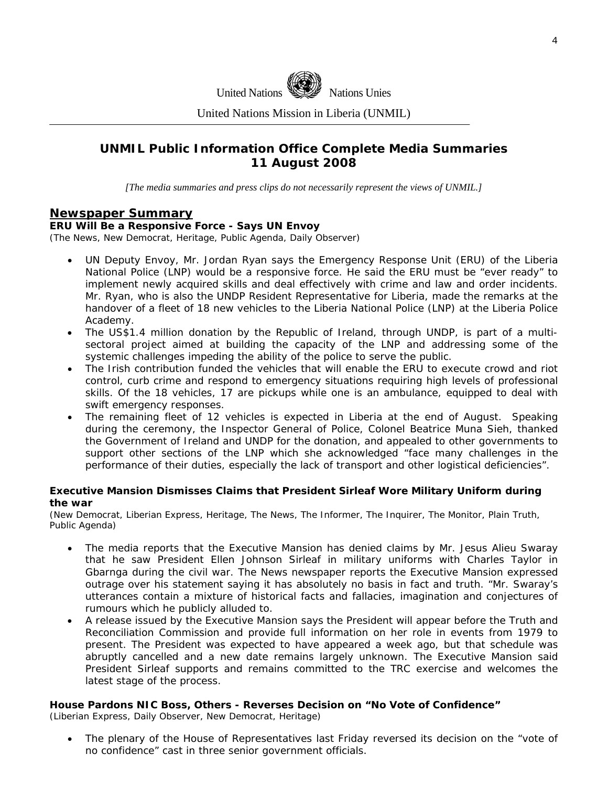

United Nations Mission in Liberia (UNMIL)

### **UNMIL Public Information Office Complete Media Summaries 11 August 2008**

*[The media summaries and press clips do not necessarily represent the views of UNMIL.]* 

### **Newspaper Summary**

#### **ERU Will Be a Responsive Force - Says UN Envoy**

(The News, New Democrat, Heritage, Public Agenda, Daily Observer)

- UN Deputy Envoy, Mr. Jordan Ryan says the Emergency Response Unit (ERU) of the Liberia National Police (LNP) would be a responsive force. He said the ERU must be "ever ready" to implement newly acquired skills and deal effectively with crime and law and order incidents. Mr. Ryan, who is also the UNDP Resident Representative for Liberia, made the remarks at the handover of a fleet of 18 new vehicles to the Liberia National Police (LNP) at the Liberia Police Academy.
- The US\$1.4 million donation by the Republic of Ireland, through UNDP, is part of a multisectoral project aimed at building the capacity of the LNP and addressing some of the systemic challenges impeding the ability of the police to serve the public.
- The Irish contribution funded the vehicles that will enable the ERU to execute crowd and riot control, curb crime and respond to emergency situations requiring high levels of professional skills. Of the 18 vehicles, 17 are pickups while one is an ambulance, equipped to deal with swift emergency responses.
- The remaining fleet of 12 vehicles is expected in Liberia at the end of August. Speaking during the ceremony, the Inspector General of Police, Colonel Beatrice Muna Sieh, thanked the Government of Ireland and UNDP for the donation, and appealed to other governments to support other sections of the LNP which she acknowledged "face many challenges in the performance of their duties, especially the lack of transport and other logistical deficiencies".

#### **Executive Mansion Dismisses Claims that President Sirleaf Wore Military Uniform during the war**

(New Democrat, Liberian Express, Heritage, The News, The Informer, The Inquirer, The Monitor, Plain Truth, Public Agenda)

- The media reports that the Executive Mansion has denied claims by Mr. Jesus Alieu Swaray that he saw President Ellen Johnson Sirleaf in military uniforms with Charles Taylor in Gbarnga during the civil war. The News newspaper reports the Executive Mansion expressed outrage over his statement saying it has absolutely no basis in fact and truth. "Mr. Swaray's utterances contain a mixture of historical facts and fallacies, imagination and conjectures of rumours which he publicly alluded to.
- A release issued by the Executive Mansion says the President will appear before the Truth and Reconciliation Commission and provide full information on her role in events from 1979 to present. The President was expected to have appeared a week ago, but that schedule was abruptly cancelled and a new date remains largely unknown. The Executive Mansion said President Sirleaf supports and remains committed to the TRC exercise and welcomes the latest stage of the process.

### **House Pardons NIC Boss, Others - Reverses Decision on "No Vote of Confidence"**

(Liberian Express, Daily Observer, New Democrat, Heritage)

• The plenary of the House of Representatives last Friday reversed its decision on the "vote of no confidence" cast in three senior government officials.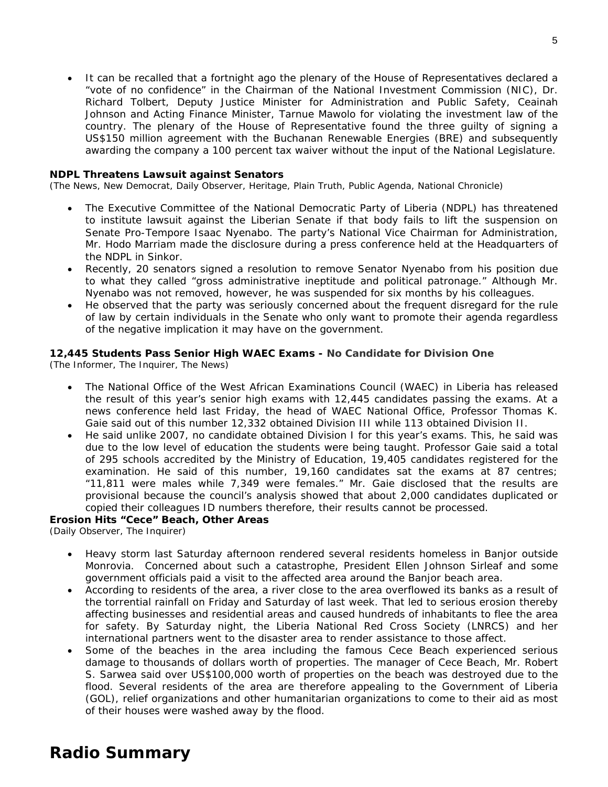• It can be recalled that a fortnight ago the plenary of the House of Representatives declared a "vote of no confidence" in the Chairman of the National Investment Commission (NIC), Dr. Richard Tolbert, Deputy Justice Minister for Administration and Public Safety, Ceainah Johnson and Acting Finance Minister, Tarnue Mawolo for violating the investment law of the country. The plenary of the House of Representative found the three guilty of signing a US\$150 million agreement with the Buchanan Renewable Energies (BRE) and subsequently awarding the company a 100 percent tax waiver without the input of the National Legislature.

### **NDPL Threatens Lawsuit against Senators**

(The News, New Democrat, Daily Observer, Heritage, Plain Truth, Public Agenda, National Chronicle)

- The Executive Committee of the National Democratic Party of Liberia (NDPL) has threatened to institute lawsuit against the Liberian Senate if that body fails to lift the suspension on Senate Pro-Tempore Isaac Nyenabo. The party's National Vice Chairman for Administration, Mr. Hodo Marriam made the disclosure during a press conference held at the Headquarters of the NDPL in Sinkor.
- Recently, 20 senators signed a resolution to remove Senator Nyenabo from his position due to what they called "gross administrative ineptitude and political patronage." Although Mr. Nyenabo was not removed, however, he was suspended for six months by his colleagues.
- He observed that the party was seriously concerned about the frequent disregard for the rule of law by certain individuals in the Senate who only want to promote their agenda regardless of the negative implication it may have on the government.

### **12,445 Students Pass Senior High WAEC Exams - No Candidate for Division One**

(The Informer, The Inquirer, The News)

- The National Office of the West African Examinations Council (WAEC) in Liberia has released the result of this year's senior high exams with 12,445 candidates passing the exams. At a news conference held last Friday, the head of WAEC National Office, Professor Thomas K. Gaie said out of this number 12,332 obtained Division III while 113 obtained Division II.
- He said unlike 2007, no candidate obtained Division I for this year's exams. This, he said was due to the low level of education the students were being taught. Professor Gaie said a total of 295 schools accredited by the Ministry of Education, 19,405 candidates registered for the examination. He said of this number, 19,160 candidates sat the exams at 87 centres; "11,811 were males while 7,349 were females." Mr. Gaie disclosed that the results are provisional because the council's analysis showed that about 2,000 candidates duplicated or copied their colleagues ID numbers therefore, their results cannot be processed.

### **Erosion Hits "Cece" Beach, Other Areas**

(Daily Observer, The Inquirer)

- Heavy storm last Saturday afternoon rendered several residents homeless in Banjor outside Monrovia. Concerned about such a catastrophe, President Ellen Johnson Sirleaf and some government officials paid a visit to the affected area around the Banjor beach area.
- According to residents of the area, a river close to the area overflowed its banks as a result of the torrential rainfall on Friday and Saturday of last week. That led to serious erosion thereby affecting businesses and residential areas and caused hundreds of inhabitants to flee the area for safety. By Saturday night, the Liberia National Red Cross Society (LNRCS) and her international partners went to the disaster area to render assistance to those affect.
- Some of the beaches in the area including the famous Cece Beach experienced serious damage to thousands of dollars worth of properties. The manager of Cece Beach, Mr. Robert S. Sarwea said over US\$100,000 worth of properties on the beach was destroyed due to the flood. Several residents of the area are therefore appealing to the Government of Liberia (GOL), relief organizations and other humanitarian organizations to come to their aid as most of their houses were washed away by the flood.

# **Radio Summary**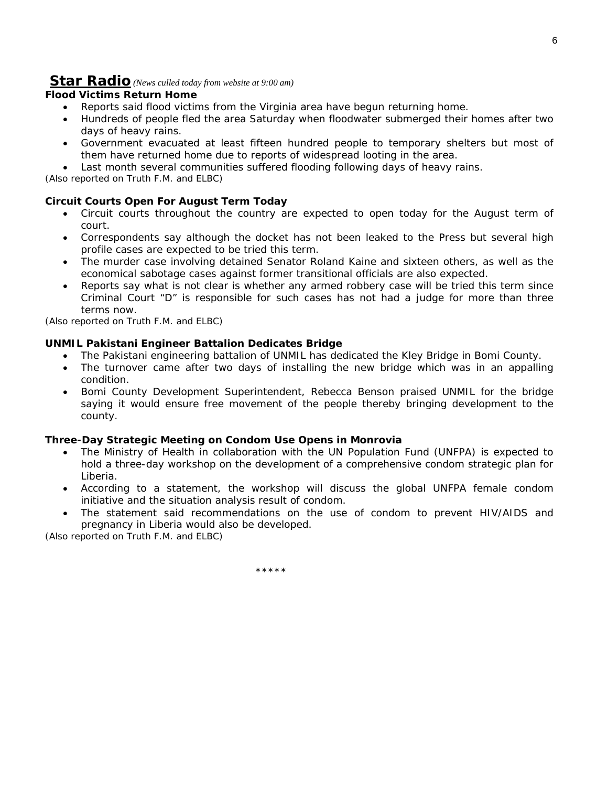### **Star Radio** *(News culled today from website at 9:00 am)*

### **Flood Victims Return Home**

- Reports said flood victims from the Virginia area have begun returning home.
- Hundreds of people fled the area Saturday when floodwater submerged their homes after two days of heavy rains.
- Government evacuated at least fifteen hundred people to temporary shelters but most of them have returned home due to reports of widespread looting in the area.
- Last month several communities suffered flooding following days of heavy rains.

*(Also reported on Truth F.M. and ELBC)*

### **Circuit Courts Open For August Term Today**

- Circuit courts throughout the country are expected to open today for the August term of court.
- Correspondents say although the docket has not been leaked to the Press but several high profile cases are expected to be tried this term.
- The murder case involving detained Senator Roland Kaine and sixteen others, as well as the economical sabotage cases against former transitional officials are also expected.
- Reports say what is not clear is whether any armed robbery case will be tried this term since Criminal Court "D" is responsible for such cases has not had a judge for more than three terms now.

*(Also reported on Truth F.M. and ELBC)*

### **UNMIL Pakistani Engineer Battalion Dedicates Bridge**

- The Pakistani engineering battalion of UNMIL has dedicated the Kley Bridge in Bomi County.
- The turnover came after two days of installing the new bridge which was in an appalling condition.
- Bomi County Development Superintendent, Rebecca Benson praised UNMIL for the bridge saying it would ensure free movement of the people thereby bringing development to the county.

### **Three-Day Strategic Meeting on Condom Use Opens in Monrovia**

- The Ministry of Health in collaboration with the UN Population Fund (UNFPA) is expected to hold a three-day workshop on the development of a comprehensive condom strategic plan for Liberia.
- According to a statement, the workshop will discuss the global UNFPA female condom initiative and the situation analysis result of condom.
- The statement said recommendations on the use of condom to prevent HIV/AIDS and pregnancy in Liberia would also be developed.

*(Also reported on Truth F.M. and ELBC)*

\*\*\*\*\*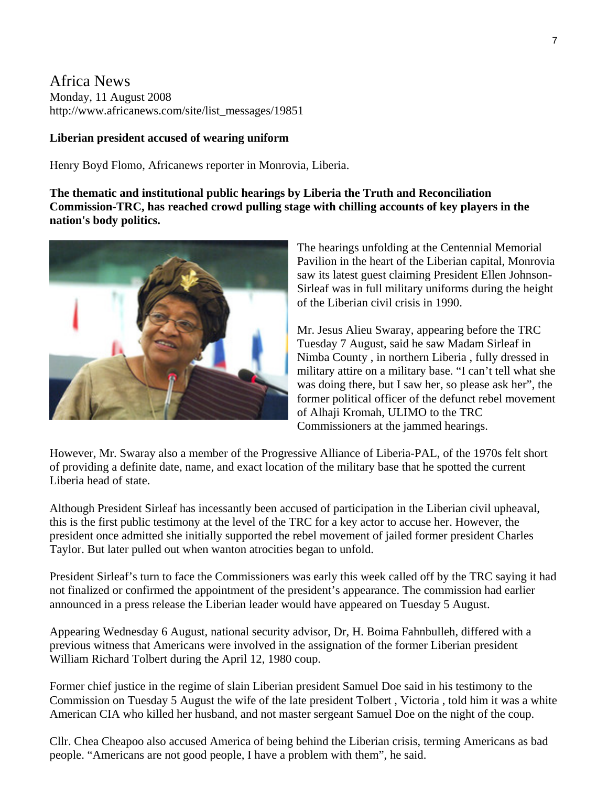### Africa News Monday, 11 August 2008 http://www.africanews.com/site/list\_messages/19851

### **Liberian president accused of wearing uniform**

Henry Boyd Flomo, Africanews reporter in Monrovia, Liberia.

**The thematic and institutional public hearings by Liberia the Truth and Reconciliation Commission-TRC, has reached crowd pulling stage with chilling accounts of key players in the nation's body politics.** 



The hearings unfolding at the Centennial Memorial Pavilion in the heart of the Liberian capital, Monrovia saw its latest guest claiming President Ellen Johnson-Sirleaf was in full military uniforms during the height of the Liberian civil crisis in 1990.

Mr. Jesus Alieu Swaray, appearing before the TRC Tuesday 7 August, said he saw Madam Sirleaf in Nimba County , in northern Liberia , fully dressed in military attire on a military base. "I can't tell what she was doing there, but I saw her, so please ask her", the former political officer of the defunct rebel movement of Alhaji Kromah, ULIMO to the TRC Commissioners at the jammed hearings.

However, Mr. Swaray also a member of the Progressive Alliance of Liberia-PAL, of the 1970s felt short of providing a definite date, name, and exact location of the military base that he spotted the current Liberia head of state.

Although President Sirleaf has incessantly been accused of participation in the Liberian civil upheaval, this is the first public testimony at the level of the TRC for a key actor to accuse her. However, the president once admitted she initially supported the rebel movement of jailed former president Charles Taylor. But later pulled out when wanton atrocities began to unfold.

President Sirleaf's turn to face the Commissioners was early this week called off by the TRC saying it had not finalized or confirmed the appointment of the president's appearance. The commission had earlier announced in a press release the Liberian leader would have appeared on Tuesday 5 August.

Appearing Wednesday 6 August, national security advisor, Dr, H. Boima Fahnbulleh, differed with a previous witness that Americans were involved in the assignation of the former Liberian president William Richard Tolbert during the April 12, 1980 coup.

Former chief justice in the regime of slain Liberian president Samuel Doe said in his testimony to the Commission on Tuesday 5 August the wife of the late president Tolbert , Victoria , told him it was a white American CIA who killed her husband, and not master sergeant Samuel Doe on the night of the coup.

Cllr. Chea Cheapoo also accused America of being behind the Liberian crisis, terming Americans as bad people. "Americans are not good people, I have a problem with them", he said.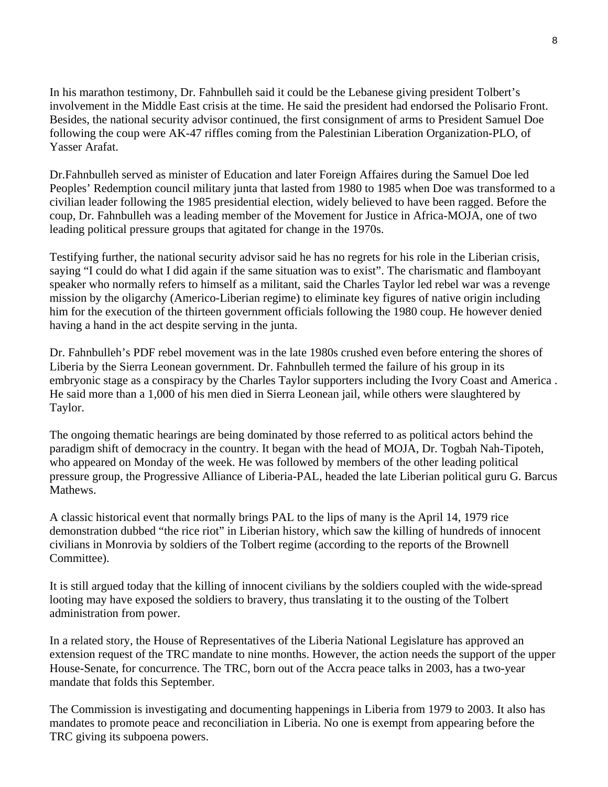In his marathon testimony, Dr. Fahnbulleh said it could be the Lebanese giving president Tolbert's involvement in the Middle East crisis at the time. He said the president had endorsed the Polisario Front. Besides, the national security advisor continued, the first consignment of arms to President Samuel Doe following the coup were AK-47 riffles coming from the Palestinian Liberation Organization-PLO, of Yasser Arafat.

Dr.Fahnbulleh served as minister of Education and later Foreign Affaires during the Samuel Doe led Peoples' Redemption council military junta that lasted from 1980 to 1985 when Doe was transformed to a civilian leader following the 1985 presidential election, widely believed to have been ragged. Before the coup, Dr. Fahnbulleh was a leading member of the Movement for Justice in Africa-MOJA, one of two leading political pressure groups that agitated for change in the 1970s.

Testifying further, the national security advisor said he has no regrets for his role in the Liberian crisis, saying "I could do what I did again if the same situation was to exist". The charismatic and flamboyant speaker who normally refers to himself as a militant, said the Charles Taylor led rebel war was a revenge mission by the oligarchy (Americo-Liberian regime) to eliminate key figures of native origin including him for the execution of the thirteen government officials following the 1980 coup. He however denied having a hand in the act despite serving in the junta.

Dr. Fahnbulleh's PDF rebel movement was in the late 1980s crushed even before entering the shores of Liberia by the Sierra Leonean government. Dr. Fahnbulleh termed the failure of his group in its embryonic stage as a conspiracy by the Charles Taylor supporters including the Ivory Coast and America . He said more than a 1,000 of his men died in Sierra Leonean jail, while others were slaughtered by Taylor.

The ongoing thematic hearings are being dominated by those referred to as political actors behind the paradigm shift of democracy in the country. It began with the head of MOJA, Dr. Togbah Nah-Tipoteh, who appeared on Monday of the week. He was followed by members of the other leading political pressure group, the Progressive Alliance of Liberia-PAL, headed the late Liberian political guru G. Barcus Mathews.

A classic historical event that normally brings PAL to the lips of many is the April 14, 1979 rice demonstration dubbed "the rice riot" in Liberian history, which saw the killing of hundreds of innocent civilians in Monrovia by soldiers of the Tolbert regime (according to the reports of the Brownell Committee).

It is still argued today that the killing of innocent civilians by the soldiers coupled with the wide-spread looting may have exposed the soldiers to bravery, thus translating it to the ousting of the Tolbert administration from power.

In a related story, the House of Representatives of the Liberia National Legislature has approved an extension request of the TRC mandate to nine months. However, the action needs the support of the upper House-Senate, for concurrence. The TRC, born out of the Accra peace talks in 2003, has a two-year mandate that folds this September.

The Commission is investigating and documenting happenings in Liberia from 1979 to 2003. It also has mandates to promote peace and reconciliation in Liberia. No one is exempt from appearing before the TRC giving its subpoena powers.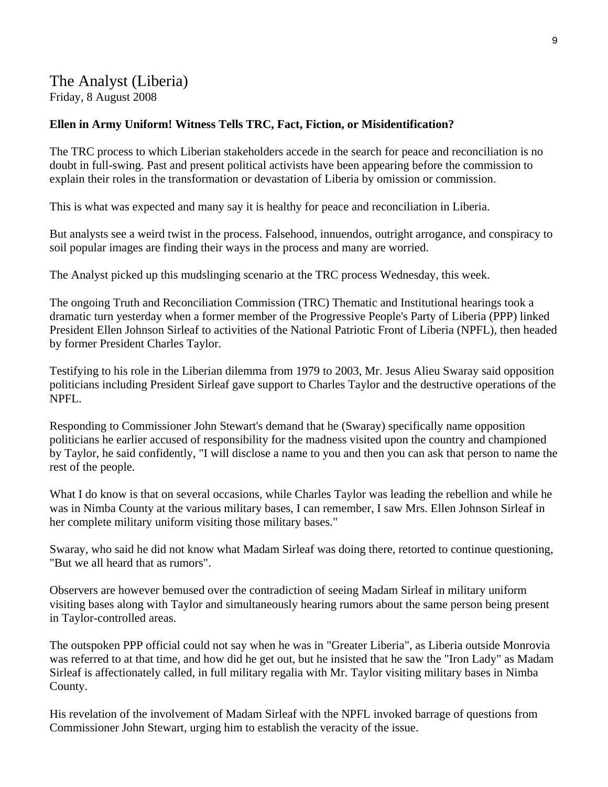# The Analyst (Liberia) Friday, 8 August 2008

### **Ellen in Army Uniform! Witness Tells TRC, Fact, Fiction, or Misidentification?**

The TRC process to which Liberian stakeholders accede in the search for peace and reconciliation is no doubt in full-swing. Past and present political activists have been appearing before the commission to explain their roles in the transformation or devastation of Liberia by omission or commission.

This is what was expected and many say it is healthy for peace and reconciliation in Liberia.

But analysts see a weird twist in the process. Falsehood, innuendos, outright arrogance, and conspiracy to soil popular images are finding their ways in the process and many are worried.

The Analyst picked up this mudslinging scenario at the TRC process Wednesday, this week.

The ongoing Truth and Reconciliation Commission (TRC) Thematic and Institutional hearings took a dramatic turn yesterday when a former member of the Progressive People's Party of Liberia (PPP) linked President Ellen Johnson Sirleaf to activities of the National Patriotic Front of Liberia (NPFL), then headed by former President Charles Taylor.

Testifying to his role in the Liberian dilemma from 1979 to 2003, Mr. Jesus Alieu Swaray said opposition politicians including President Sirleaf gave support to Charles Taylor and the destructive operations of the NPFL.

Responding to Commissioner John Stewart's demand that he (Swaray) specifically name opposition politicians he earlier accused of responsibility for the madness visited upon the country and championed by Taylor, he said confidently, "I will disclose a name to you and then you can ask that person to name the rest of the people.

What I do know is that on several occasions, while Charles Taylor was leading the rebellion and while he was in Nimba County at the various military bases, I can remember, I saw Mrs. Ellen Johnson Sirleaf in her complete military uniform visiting those military bases."

Swaray, who said he did not know what Madam Sirleaf was doing there, retorted to continue questioning, "But we all heard that as rumors".

Observers are however bemused over the contradiction of seeing Madam Sirleaf in military uniform visiting bases along with Taylor and simultaneously hearing rumors about the same person being present in Taylor-controlled areas.

The outspoken PPP official could not say when he was in "Greater Liberia", as Liberia outside Monrovia was referred to at that time, and how did he get out, but he insisted that he saw the "Iron Lady" as Madam Sirleaf is affectionately called, in full military regalia with Mr. Taylor visiting military bases in Nimba County.

His revelation of the involvement of Madam Sirleaf with the NPFL invoked barrage of questions from Commissioner John Stewart, urging him to establish the veracity of the issue.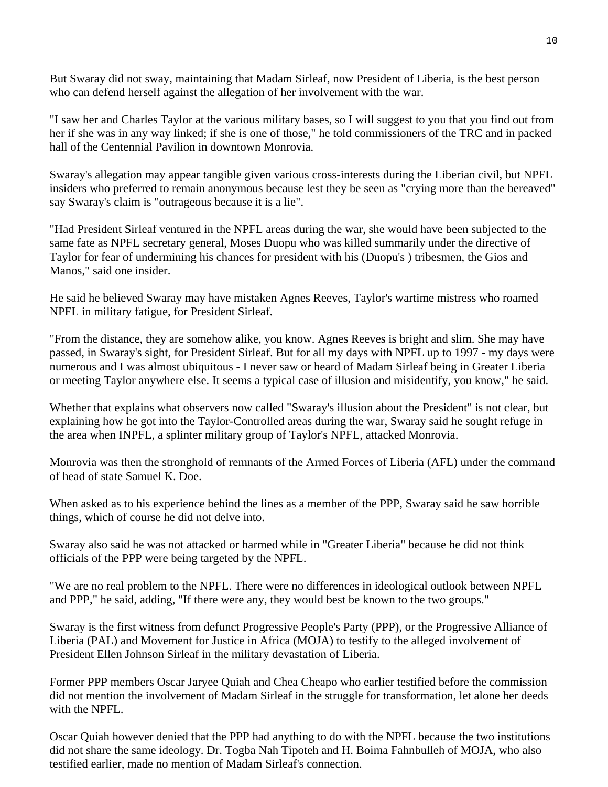But Swaray did not sway, maintaining that Madam Sirleaf, now President of Liberia, is the best person who can defend herself against the allegation of her involvement with the war.

"I saw her and Charles Taylor at the various military bases, so I will suggest to you that you find out from her if she was in any way linked; if she is one of those," he told commissioners of the TRC and in packed hall of the Centennial Pavilion in downtown Monrovia.

Swaray's allegation may appear tangible given various cross-interests during the Liberian civil, but NPFL insiders who preferred to remain anonymous because lest they be seen as "crying more than the bereaved" say Swaray's claim is "outrageous because it is a lie".

"Had President Sirleaf ventured in the NPFL areas during the war, she would have been subjected to the same fate as NPFL secretary general, Moses Duopu who was killed summarily under the directive of Taylor for fear of undermining his chances for president with his (Duopu's ) tribesmen, the Gios and Manos," said one insider.

He said he believed Swaray may have mistaken Agnes Reeves, Taylor's wartime mistress who roamed NPFL in military fatigue, for President Sirleaf.

"From the distance, they are somehow alike, you know. Agnes Reeves is bright and slim. She may have passed, in Swaray's sight, for President Sirleaf. But for all my days with NPFL up to 1997 - my days were numerous and I was almost ubiquitous - I never saw or heard of Madam Sirleaf being in Greater Liberia or meeting Taylor anywhere else. It seems a typical case of illusion and misidentify, you know," he said.

Whether that explains what observers now called "Swaray's illusion about the President" is not clear, but explaining how he got into the Taylor-Controlled areas during the war, Swaray said he sought refuge in the area when INPFL, a splinter military group of Taylor's NPFL, attacked Monrovia.

Monrovia was then the stronghold of remnants of the Armed Forces of Liberia (AFL) under the command of head of state Samuel K. Doe.

When asked as to his experience behind the lines as a member of the PPP, Swaray said he saw horrible things, which of course he did not delve into.

Swaray also said he was not attacked or harmed while in "Greater Liberia" because he did not think officials of the PPP were being targeted by the NPFL.

"We are no real problem to the NPFL. There were no differences in ideological outlook between NPFL and PPP," he said, adding, "If there were any, they would best be known to the two groups."

Swaray is the first witness from defunct Progressive People's Party (PPP), or the Progressive Alliance of Liberia (PAL) and Movement for Justice in Africa (MOJA) to testify to the alleged involvement of President Ellen Johnson Sirleaf in the military devastation of Liberia.

Former PPP members Oscar Jaryee Quiah and Chea Cheapo who earlier testified before the commission did not mention the involvement of Madam Sirleaf in the struggle for transformation, let alone her deeds with the NPFL.

Oscar Quiah however denied that the PPP had anything to do with the NPFL because the two institutions did not share the same ideology. Dr. Togba Nah Tipoteh and H. Boima Fahnbulleh of MOJA, who also testified earlier, made no mention of Madam Sirleaf's connection.